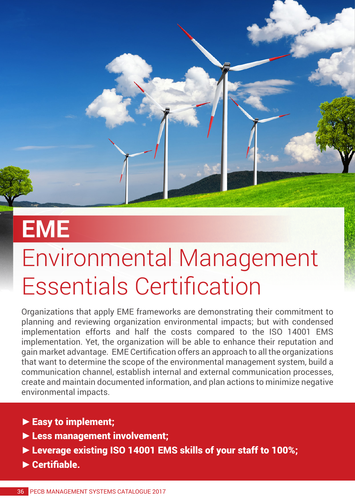

## **EME**

## Environmental Management Essentials Certification

Organizations that apply EME frameworks are demonstrating their commitment to planning and reviewing organization environmental impacts; but with condensed implementation efforts and half the costs compared to the ISO 14001 EMS implementation. Yet, the organization will be able to enhance their reputation and gain market advantage. EME Certification offers an approach to all the organizations that want to determine the scope of the environmental management system, build a communication channel, establish internal and external communication processes, create and maintain documented information, and plan actions to minimize negative environmental impacts.

- **►**Easy to implement;
- **►**Less management involvement;
- **►**Leverage existing ISO 14001 EMS skills of your staff to 100%;
- **►**Certifiable.